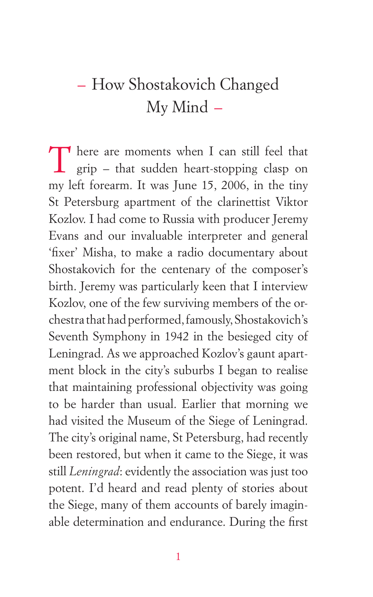## – How Shostakovich Changed My Mind –

There are moments when I can still feel that grip – that sudden heart-stopping clasp on my left forearm. It was June 15, 2006, in the tiny St Petersburg apartment of the clarinettist Viktor Kozlov. I had come to Russia with producer Jeremy Evans and our invaluable interpreter and general 'fixer' Misha, to make a radio documentary about Shostakovich for the centenary of the composer's birth. Jeremy was particularly keen that I interview Kozlov, one of the few surviving members of the orchestra that had performed, famously, Shostakovich's Seventh Symphony in 1942 in the besieged city of Leningrad. As we approached Kozlov's gaunt apartment block in the city's suburbs I began to realise that maintaining professional objectivity was going to be harder than usual. Earlier that morning we had visited the Museum of the Siege of Leningrad. The city's original name, St Petersburg, had recently been restored, but when it came to the Siege, it was still *Leningrad*: evidently the association was just too potent. I'd heard and read plenty of stories about the Siege, many of them accounts of barely imaginable determination and endurance. During the first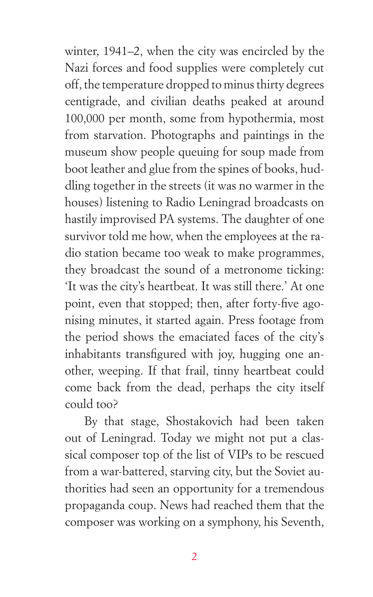winter, 1941–2, when the city was encircled by the Nazi forces and food supplies were completely cut off, the temperature dropped to minus thirty degrees centigrade, and civilian deaths peaked at around 100,000 per month, some from hypothermia, most from starvation. Photographs and paintings in the museum show people queuing for soup made from boot leather and glue from the spines of books, huddling together in the streets (it was no warmer in the houses) listening to Radio Leningrad broadcasts on hastily improvised PA systems. The daughter of one survivor told me how, when the employees at the radio station became too weak to make programmes, they broadcast the sound of a metronome ticking: 'It was the city's heartbeat. It was still there.' At one point, even that stopped; then, after forty-five agonising minutes, it started again. Press footage from the period shows the emaciated faces of the city's inhabitants transfigured with joy, hugging one another, weeping. If that frail, tinny heartbeat could come back from the dead, perhaps the city itself could too?

By that stage, Shostakovich had been taken out of Leningrad. Today we might not put a classical composer top of the list of VIPs to be rescued from a war-battered, starving city, but the Soviet authorities had seen an opportunity for a tremendous propaganda coup. News had reached them that the composer was working on a symphony, his Seventh,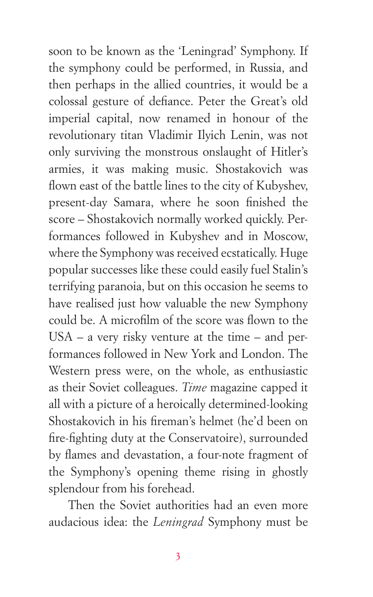soon to be known as the 'Leningrad' Symphony. If the symphony could be performed, in Russia, and then perhaps in the allied countries, it would be a colossal gesture of defiance. Peter the Great's old imperial capital, now renamed in honour of the revolutionary titan Vladimir Ilyich Lenin, was not only surviving the monstrous onslaught of Hitler's armies, it was making music. Shostakovich was flown east of the battle lines to the city of Kubyshev, present-day Samara, where he soon finished the score – Shostakovich normally worked quickly. Performances followed in Kubyshev and in Moscow, where the Symphony was received ecstatically. Huge popular successes like these could easily fuel Stalin's terrifying paranoia, but on this occasion he seems to have realised just how valuable the new Symphony could be. A microfilm of the score was flown to the USA – a very risky venture at the time – and performances followed in New York and London. The Western press were, on the whole, as enthusiastic as their Soviet colleagues. *Time* magazine capped it all with a picture of a heroically determined-looking Shostakovich in his fireman's helmet (he'd been on fire-fighting duty at the Conservatoire), surrounded by flames and devastation, a four-note fragment of the Symphony's opening theme rising in ghostly splendour from his forehead.

Then the Soviet authorities had an even more audacious idea: the *Leningrad* Symphony must be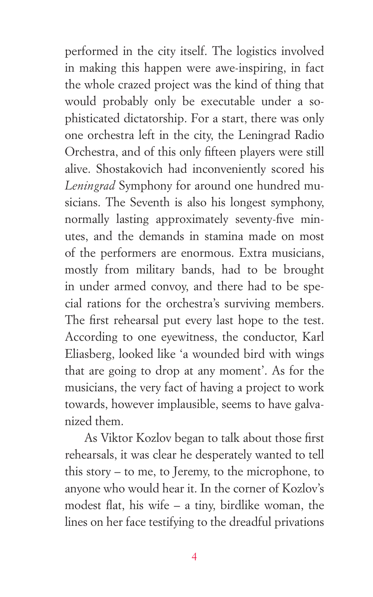performed in the city itself. The logistics involved in making this happen were awe-inspiring, in fact the whole crazed project was the kind of thing that would probably only be executable under a sophisticated dictatorship. For a start, there was only one orchestra left in the city, the Leningrad Radio Orchestra, and of this only fifteen players were still alive. Shostakovich had inconveniently scored his *Leningrad* Symphony for around one hundred musicians. The Seventh is also his longest symphony, normally lasting approximately seventy-five minutes, and the demands in stamina made on most of the performers are enormous. Extra musicians, mostly from military bands, had to be brought in under armed convoy, and there had to be special rations for the orchestra's surviving members. The first rehearsal put every last hope to the test. According to one eyewitness, the conductor, Karl Eliasberg, looked like 'a wounded bird with wings that are going to drop at any moment'. As for the musicians, the very fact of having a project to work towards, however implausible, seems to have galvanized them.

As Viktor Kozlov began to talk about those first rehearsals, it was clear he desperately wanted to tell this story – to me, to Jeremy, to the microphone, to anyone who would hear it. In the corner of Kozlov's modest flat, his wife – a tiny, birdlike woman, the lines on her face testifying to the dreadful privations